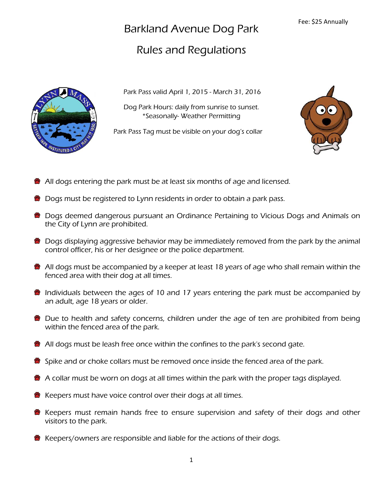## Barkland Avenue Dog Park

## Rules and Regulations



Park Pass valid April 1, 2015 - March 31, 2016

Dog Park Hours: daily from sunrise to sunset. \*Seasonally- Weather Permitting

Park Pass Tag must be visible on your dog's collar



- All dogs entering the park must be at least six months of age and licensed.
- **Dogs must be registered to Lynn residents in order to obtain a park pass.**
- **Dogs deemed dangerous pursuant an Ordinance Pertaining to Vicious Dogs and Animals on** the City of Lynn are prohibited.
- Dogs displaying aggressive behavior may be immediately removed from the park by the animal control officer, his or her designee or the police department.
- **All dogs must be accompanied by a keeper at least 18 years of age who shall remain within the** fenced area with their dog at all times.
- **Individuals between the ages of 10 and 17 years entering the park must be accompanied by** an adult, age 18 years or older.
- Due to health and safety concerns, children under the age of ten are prohibited from being within the fenced area of the park.
- **All dogs must be leash free once within the confines to the park's second gate.**
- Spike and or choke collars must be removed once inside the fenced area of the park.
- $\bullet$  A collar must be worn on dogs at all times within the park with the proper tags displayed.
- $\bullet$  Keepers must have voice control over their dogs at all times.
- Keepers must remain hands free to ensure supervision and safety of their dogs and other visitors to the park.
- Keepers/owners are responsible and liable for the actions of their dogs.